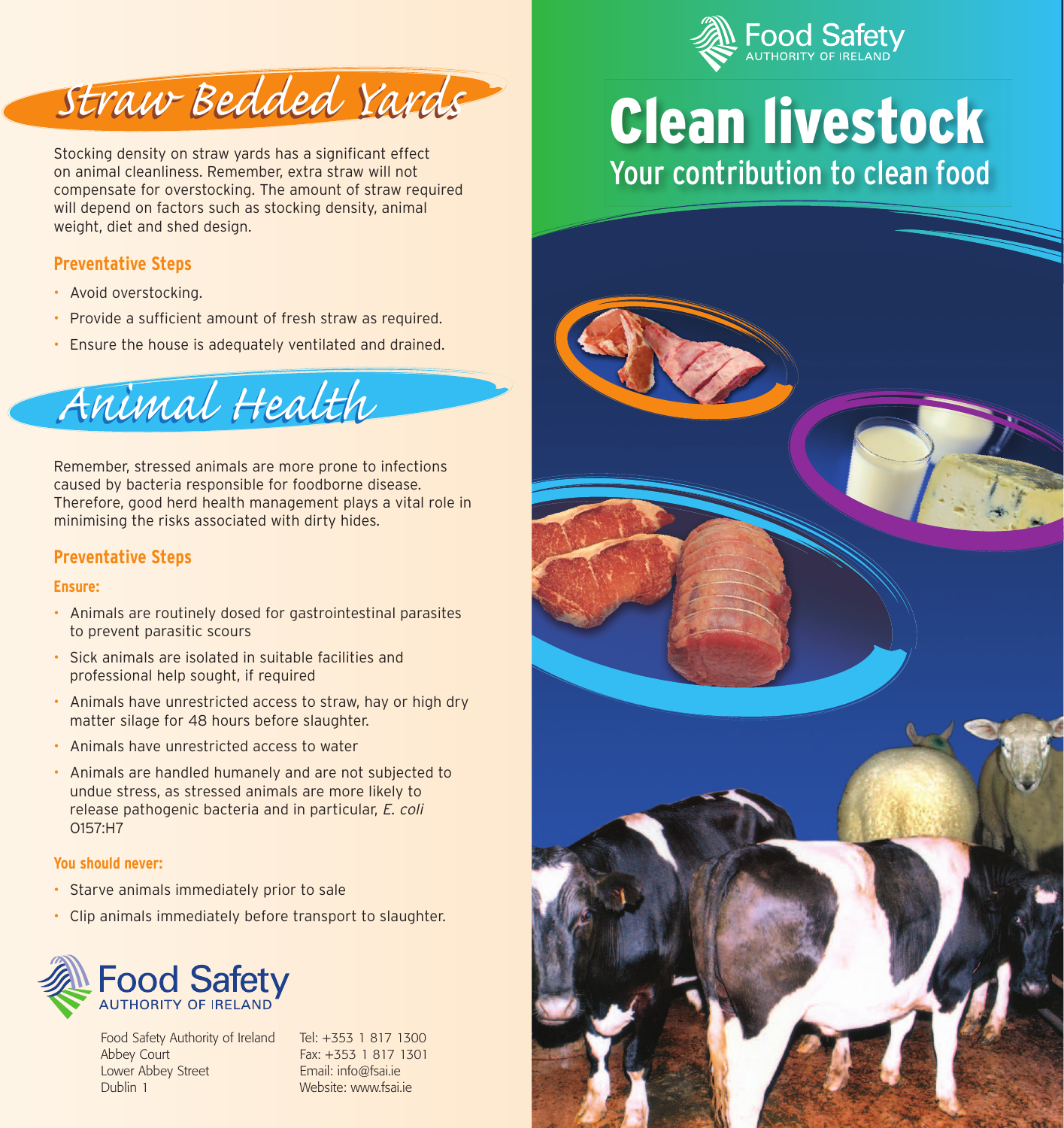



Stocking density on straw yards has a significant effect on animal cleanliness. Remember, extra straw will not compensate for overstocking. The amount of straw required will depend on factors such as stocking density, animal weight, diet and shed design.

# **Preventative Steps**

- Avoid overstocking.
- Provide a sufficient amount of fresh straw as required.
- Ensure the house is adequately ventilated and drained.

*Animal Health Animal Health*

Remember, stressed animals are more prone to infections caused by bacteria responsible for foodborne disease. Therefore, good herd health management plays a vital role in minimising the risks associated with dirty hides.

## **Preventative Steps**

### **Ensure:**

- Animals are routinely dosed for gastrointestinal parasites to prevent parasitic scours
- Sick animals are isolated in suitable facilities and professional help sought, if required
- Animals have unrestricted access to straw, hay or high dry matter silage for 48 hours before slaughter.
- Animals have unrestricted access to water
- Animals are handled humanely and are not subjected to undue stress, as stressed animals are more likely to release pathogenic bacteria and in particular, E. coli O157:H7

### **You should never:**

- Starve animals immediately prior to sale
- Clip animals immediately before transport to slaughter.



Food Safety Authority of Ireland Abbey Court Lower Abbey Street Dublin 1

Tel: +353 1 817 1300 Fax: +353 1 817 1301 Email: info@fsai.ie Website: www.fsai.je

# **Clean livestock From Westock Would Westock which we prefer to the From Westock would be a set of the From Westock West Street Street Street Street Street Street Street Street Street Street Street Street Street Street Street Street Street Your contribution to clean food**